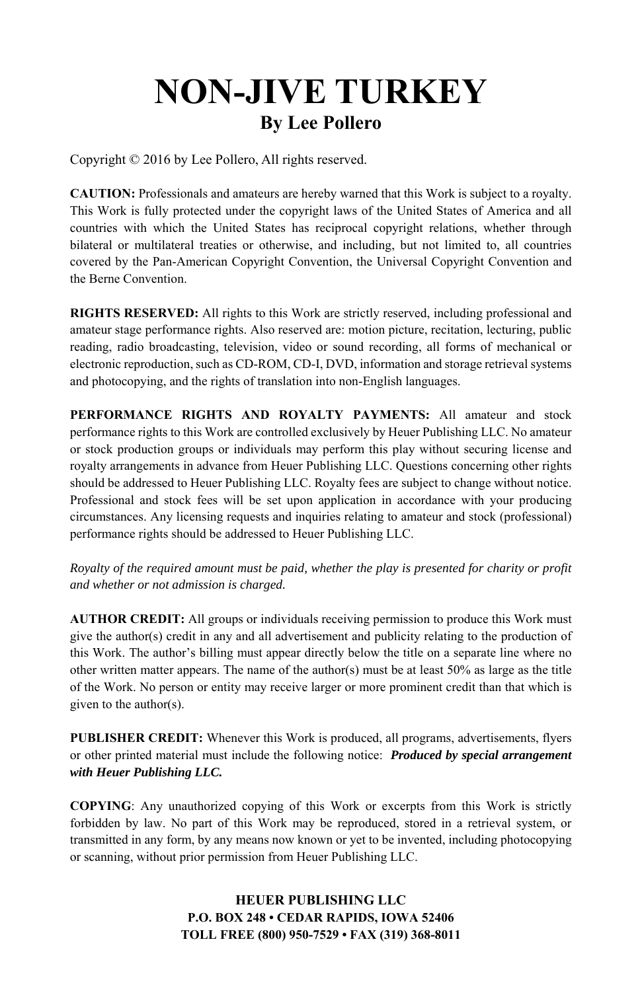## **NON-JIVE TURKEY By Lee Pollero**

Copyright © 2016 by Lee Pollero, All rights reserved.

**CAUTION:** Professionals and amateurs are hereby warned that this Work is subject to a royalty. This Work is fully protected under the copyright laws of the United States of America and all countries with which the United States has reciprocal copyright relations, whether through bilateral or multilateral treaties or otherwise, and including, but not limited to, all countries covered by the Pan-American Copyright Convention, the Universal Copyright Convention and the Berne Convention.

**RIGHTS RESERVED:** All rights to this Work are strictly reserved, including professional and amateur stage performance rights. Also reserved are: motion picture, recitation, lecturing, public reading, radio broadcasting, television, video or sound recording, all forms of mechanical or electronic reproduction, such as CD-ROM, CD-I, DVD, information and storage retrieval systems and photocopying, and the rights of translation into non-English languages.

**PERFORMANCE RIGHTS AND ROYALTY PAYMENTS:** All amateur and stock performance rights to this Work are controlled exclusively by Heuer Publishing LLC. No amateur or stock production groups or individuals may perform this play without securing license and royalty arrangements in advance from Heuer Publishing LLC. Questions concerning other rights should be addressed to Heuer Publishing LLC. Royalty fees are subject to change without notice. Professional and stock fees will be set upon application in accordance with your producing circumstances. Any licensing requests and inquiries relating to amateur and stock (professional) performance rights should be addressed to Heuer Publishing LLC.

*Royalty of the required amount must be paid, whether the play is presented for charity or profit and whether or not admission is charged.*

**AUTHOR CREDIT:** All groups or individuals receiving permission to produce this Work must give the author(s) credit in any and all advertisement and publicity relating to the production of this Work. The author's billing must appear directly below the title on a separate line where no other written matter appears. The name of the author(s) must be at least  $50\%$  as large as the title of the Work. No person or entity may receive larger or more prominent credit than that which is given to the author(s).

**PUBLISHER CREDIT:** Whenever this Work is produced, all programs, advertisements, flyers or other printed material must include the following notice: *Produced by special arrangement with Heuer Publishing LLC.*

**COPYING**: Any unauthorized copying of this Work or excerpts from this Work is strictly forbidden by law. No part of this Work may be reproduced, stored in a retrieval system, or transmitted in any form, by any means now known or yet to be invented, including photocopying or scanning, without prior permission from Heuer Publishing LLC.

> **HEUER PUBLISHING LLC P.O. BOX 248 • CEDAR RAPIDS, IOWA 52406 TOLL FREE (800) 950-7529 • FAX (319) 368-8011**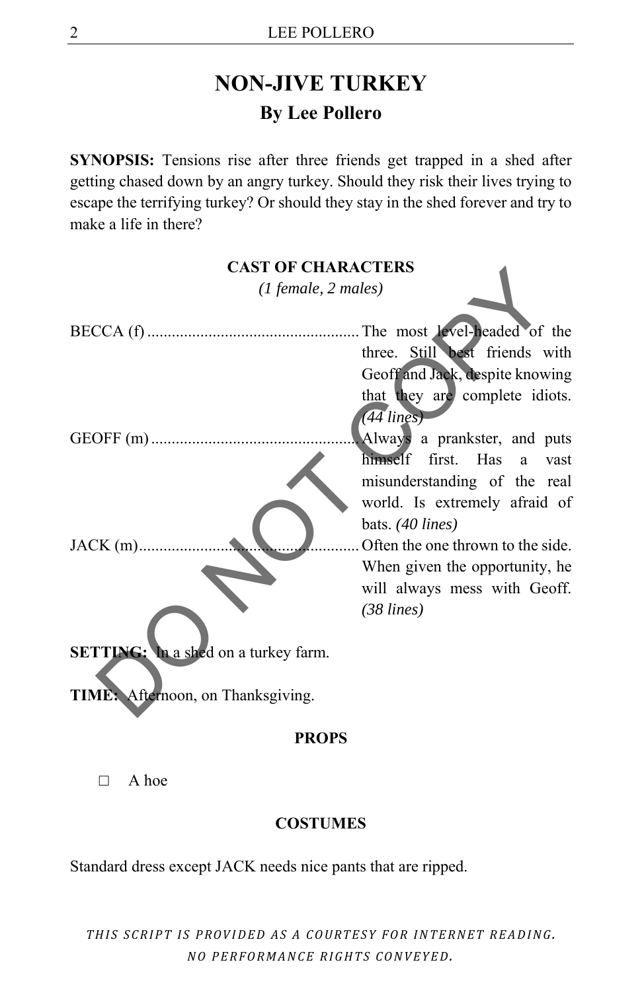## **NON-JIVE TURKEY By Lee Pollero**

**SYNOPSIS:** Tensions rise after three friends get trapped in a shed after getting chased down by an angry turkey. Should they risk their lives trying to escape the terrifying turkey? Or should they stay in the shed forever and try to make a life in there?



 $\Box$  A hoe

## **COSTUMES**

Standard dress except JACK needs nice pants that are ripped.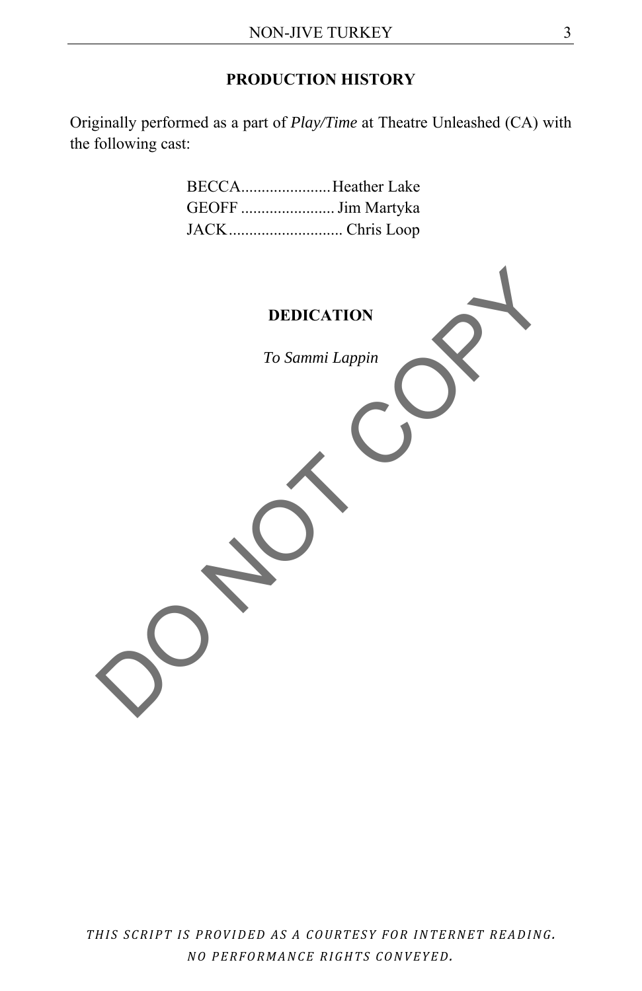## **PRODUCTION HISTORY**

Originally performed as a part of *Play/Time* at Theatre Unleashed (CA) with the following cast:

| BECCAHeather Lake  |
|--------------------|
| GEOFF  Jim Martyka |
| JACKChris Loop     |

**DEDICATION** 

*To Sammi Lappin*  DEDICATION To Sammi Lappin COPY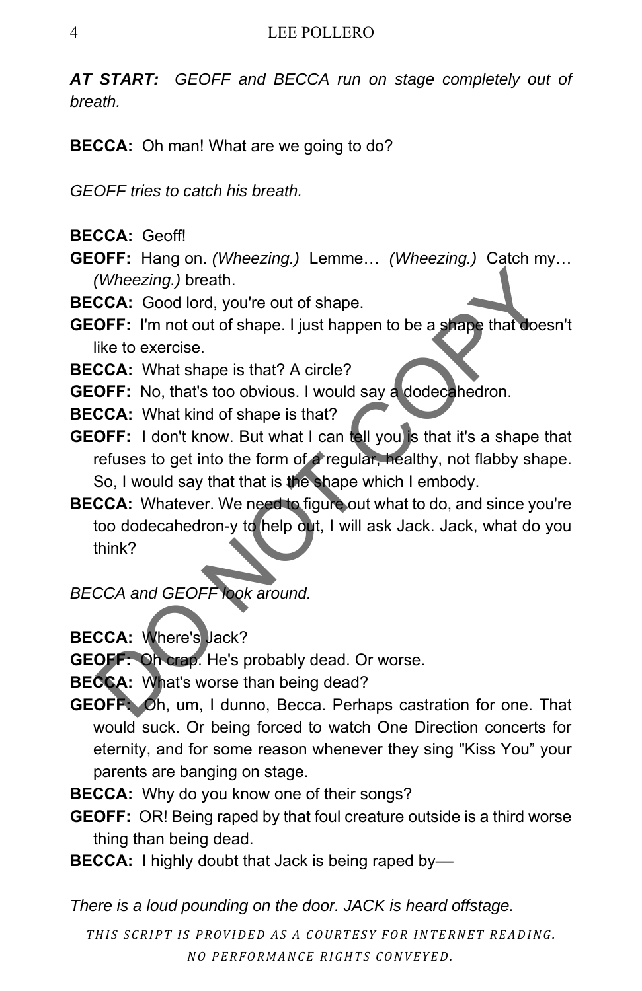*AT START: GEOFF and BECCA run on stage completely out of breath.* 

**BECCA:** Oh man! What are we going to do?

*GEOFF tries to catch his breath.*

**BECCA:** Geoff!

**GEOFF:** Hang on. *(Wheezing.)* Lemme… *(Wheezing.)* Catch my… *(Wheezing.)* breath.

- **BECCA:** Good lord, you're out of shape.
- **GEOFF:** I'm not out of shape. I just happen to be a shape that doesn't like to exercise.
- **BECCA:** What shape is that? A circle?
- **GEOFF:** No, that's too obvious. I would say a dodecahedron.
- **BECCA:** What kind of shape is that?
- **GEOFF:** I don't know. But what I can tell you is that it's a shape that refuses to get into the form of a regular, healthy, not flabby shape. So, I would say that that is the shape which I embody.
- **BECCA:** Whatever. We need to figure out what to do, and since you're too dodecahedron-y to help out, I will ask Jack. Jack, what do you think? (Wheezing.) breath.<br>
CCA: Good lord, you're out of shape.<br>
OFF: I'm not out of shape. I just happen to be a shape that doesn<br>
like to exercise.<br>
CCA: What shape is that? A circle?<br>
OFF: Io, that's too obvious. I would say

*BECCA and GEOFF look around.*

**BECCA:** Where's Jack?

**GEOFF:** Oh crap. He's probably dead. Or worse.

**BECCA:** What's worse than being dead?

- **GEOFF:** Oh, um, I dunno, Becca. Perhaps castration for one. That would suck. Or being forced to watch One Direction concerts for eternity, and for some reason whenever they sing "Kiss You" your parents are banging on stage.
- **BECCA:** Why do you know one of their songs?
- **GEOFF:** OR! Being raped by that foul creature outside is a third worse thing than being dead.
- **BECCA:** I highly doubt that Jack is being raped by-

*There is a loud pounding on the door. JACK is heard offstage.*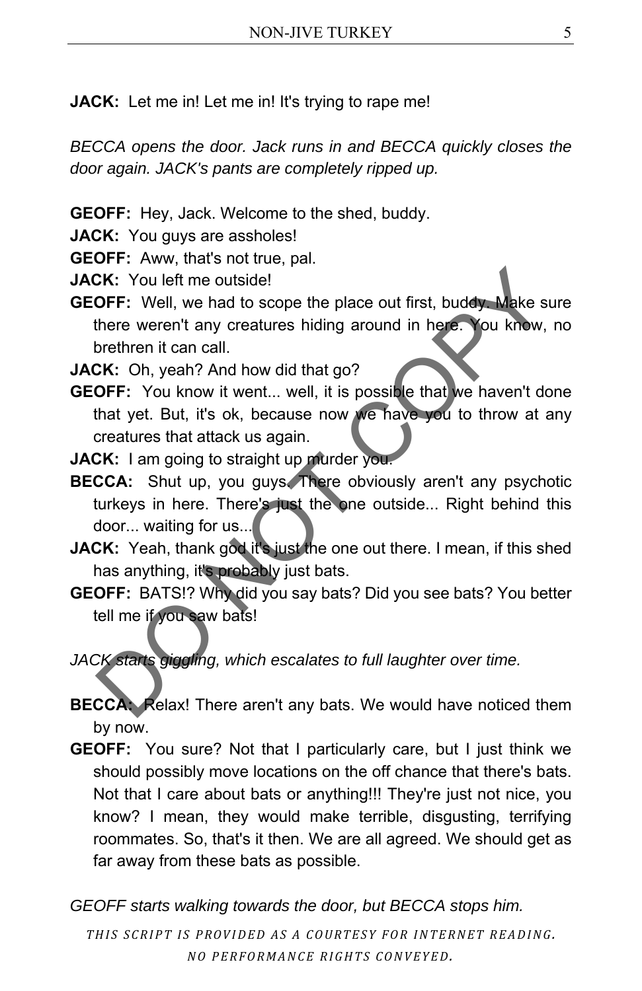**JACK:** Let me in! Let me in! It's trying to rape me!

*BECCA opens the door. Jack runs in and BECCA quickly closes the door again. JACK's pants are completely ripped up.* 

**GEOFF:** Hey, Jack. Welcome to the shed, buddy.

**JACK:** You guys are assholes!

**GEOFF:** Aww, that's not true, pal.

**JACK:** You left me outside!

**GEOFF:** Well, we had to scope the place out first, buddy. Make sure there weren't any creatures hiding around in here. You know, no brethren it can call. **CK:** You left me outside!<br> **OFF:** Well, we had to scope the place out first, buddy Make sure<br>
there weren't any creatures hiding around in here. You know, no<br>
brethren it can call.<br> **CK:** Oh, yeah? And how did that go?<br>

**JACK:** Oh, yeah? And how did that go?

- **GEOFF:** You know it went... well, it is possible that we haven't done that yet. But, it's ok, because now we have you to throw at any creatures that attack us again.
- **JACK:** I am going to straight up murder you.
- **BECCA:** Shut up, you guys. There obviously aren't any psychotic turkeys in here. There's just the one outside... Right behind this door... waiting for us...
- **JACK:** Yeah, thank god it's just the one out there. I mean, if this shed has anything, it's probably just bats.
- **GEOFF:** BATS!? Why did you say bats? Did you see bats? You better tell me if you saw bats!

*JACK starts giggling, which escalates to full laughter over time.* 

- **BECCA:** Relax! There aren't any bats. We would have noticed them by now.
- **GEOFF:** You sure? Not that I particularly care, but I just think we should possibly move locations on the off chance that there's bats. Not that I care about bats or anything!!! They're just not nice, you know? I mean, they would make terrible, disgusting, terrifying roommates. So, that's it then. We are all agreed. We should get as far away from these bats as possible.

*GEOFF starts walking towards the door, but BECCA stops him.*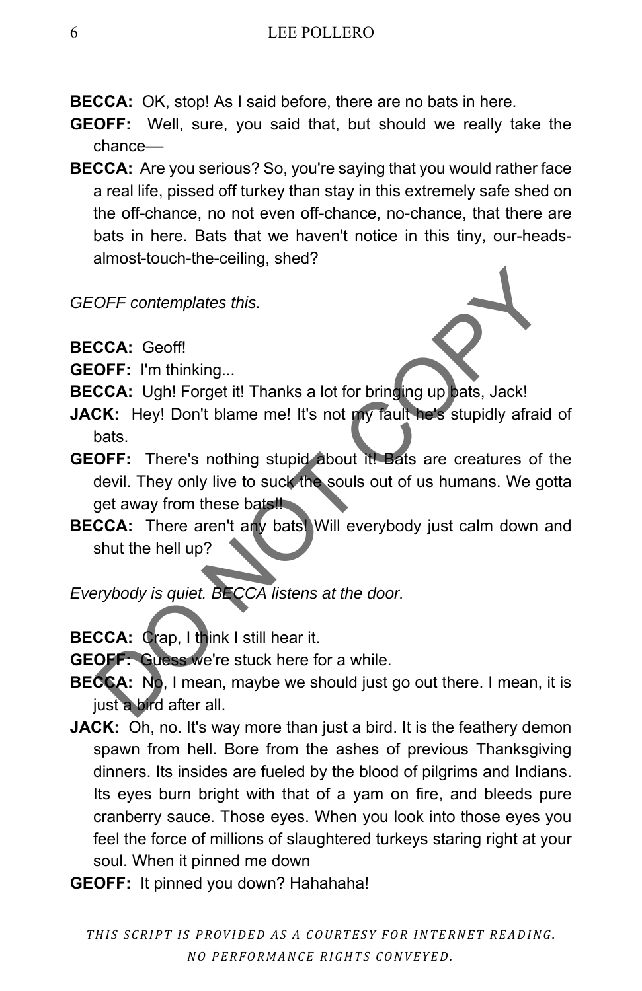**BECCA:** OK, stop! As I said before, there are no bats in here.

- **GEOFF:** Well, sure, you said that, but should we really take the chance––
- **BECCA:** Are you serious? So, you're saying that you would rather face a real life, pissed off turkey than stay in this extremely safe shed on the off-chance, no not even off-chance, no-chance, that there are bats in here. Bats that we haven't notice in this tiny, our-headsalmost-touch-the-ceiling, shed?

*GEOFF contemplates this.* 

**BECCA:** Geoff!

- **GEOFF:** I'm thinking...
- **BECCA:** Ugh! Forget it! Thanks a lot for bringing up bats, Jack!
- **JACK:** Hey! Don't blame me! It's not my fault he's stupidly afraid of bats.
- **GEOFF:** There's nothing stupid about it! Bats are creatures of the devil. They only live to suck the souls out of us humans. We gotta get away from these bats! OFF contemplates this.<br>
CCA: Geoff!<br>
OFF: I'm thinking...<br>
CCA: Ugh! Forget it! Thanks a lot for bringing up bats, Jack!<br>
Dats. Hey! Don't blame me! It's not my fault he's stupidly afraid co<br>
bats.<br>
OFF: There's nothing st
- **BECCA:** There aren't any bats! Will everybody just calm down and shut the hell up?

*Everybody is quiet. BECCA listens at the door.* 

**BECCA:** Crap, I think I still hear it.

**GEOFF:** Guess we're stuck here for a while.

- **BECCA:** No, I mean, maybe we should just go out there. I mean, it is just a bird after all.
- **JACK:** Oh, no. It's way more than just a bird. It is the feathery demon spawn from hell. Bore from the ashes of previous Thanksgiving dinners. Its insides are fueled by the blood of pilgrims and Indians. Its eyes burn bright with that of a yam on fire, and bleeds pure cranberry sauce. Those eyes. When you look into those eyes you feel the force of millions of slaughtered turkeys staring right at your soul. When it pinned me down
- **GEOFF:** It pinned you down? Hahahaha!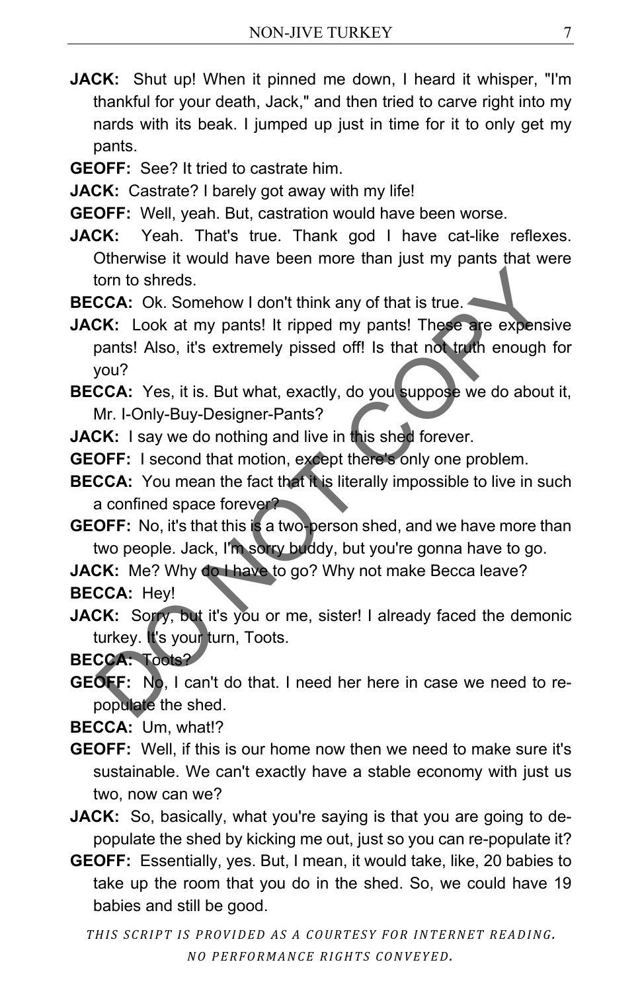- **JACK:** Shut up! When it pinned me down, I heard it whisper, "I'm thankful for your death, Jack," and then tried to carve right into my nards with its beak. I jumped up just in time for it to only get my pants.
- **GEOFF:** See? It tried to castrate him.

**JACK:** Castrate? I barely got away with my life!

- **GEOFF:** Well, yeah. But, castration would have been worse.
- **JACK:** Yeah. That's true. Thank god I have cat-like reflexes. Otherwise it would have been more than just my pants that were torn to shreds.
- **BECCA:** Ok. Somehow I don't think any of that is true.
- **JACK:** Look at my pants! It ripped my pants! These are expensive pants! Also, it's extremely pissed off! Is that not truth enough for you? form to shreds.<br>
CCA: Ok. Somehow I don't think any of that is true.<br>
CCA: Ok. Somehow I don't think any of that is true.<br>
CCA: Look at my pants! It ripped my pants! These are expensive<br>
pants! Also, it's extremely pissed
- **BECCA:** Yes, it is. But what, exactly, do you suppose we do about it, Mr. I-Only-Buy-Designer-Pants?
- **JACK:** I say we do nothing and live in this shed forever.
- **GEOFF:** I second that motion, except there's only one problem.
- **BECCA:** You mean the fact that it is literally impossible to live in such a confined space forever?
- **GEOFF:** No, it's that this is a two-person shed, and we have more than two people. Jack, I'm sorry buddy, but you're gonna have to go.

**JACK:** Me? Why do I have to go? Why not make Becca leave? **BECCA:** Hey!

**JACK:** Sorry, but it's you or me, sister! I already faced the demonic turkey. It's your turn, Toots.

**BECCA:** Toots?

**GEOFF:** No, I can't do that. I need her here in case we need to repopulate the shed.

**BECCA:** Um, what!?

- **GEOFF:** Well, if this is our home now then we need to make sure it's sustainable. We can't exactly have a stable economy with just us two, now can we?
- **JACK:** So, basically, what you're saying is that you are going to depopulate the shed by kicking me out, just so you can re-populate it?
- **GEOFF:** Essentially, yes. But, I mean, it would take, like, 20 babies to take up the room that you do in the shed. So, we could have 19 babies and still be good.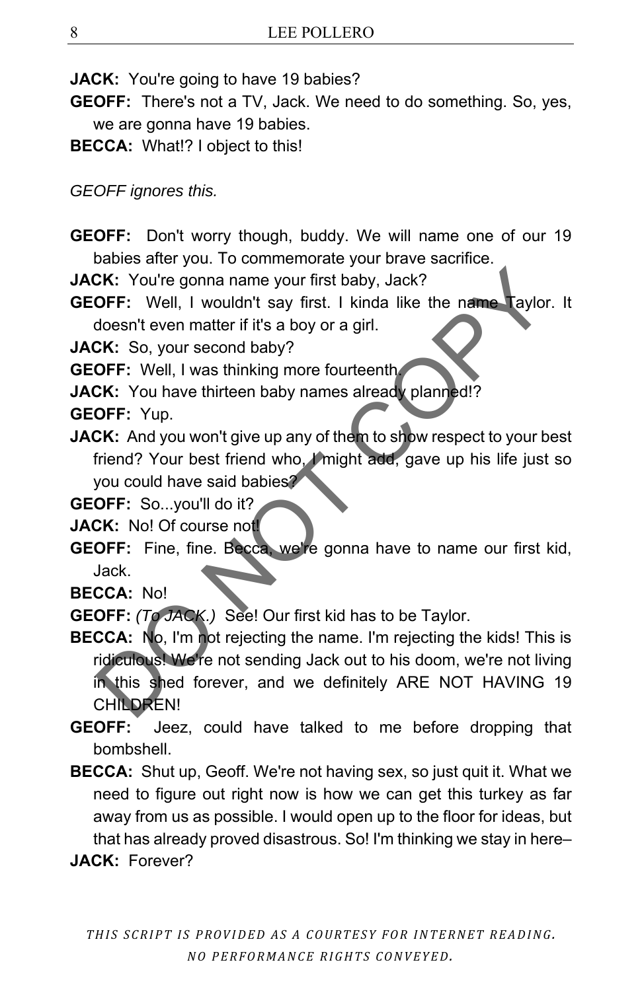**JACK:** You're going to have 19 babies?

- **GEOFF:** There's not a TV, Jack. We need to do something. So, yes, we are gonna have 19 babies.
- **BECCA:** What!? I object to this!

*GEOFF ignores this.* 

**GEOFF:** Don't worry though, buddy. We will name one of our 19 babies after you. To commemorate your brave sacrifice.

**JACK:** You're gonna name your first baby, Jack?

**GEOFF:** Well, I wouldn't say first. I kinda like the name Taylor. It doesn't even matter if it's a boy or a girl.

**JACK:** So, your second baby?

- **GEOFF:** Well, I was thinking more fourteenth.
- **JACK:** You have thirteen baby names already planned!?
- **GEOFF:** Yup.
- **JACK:** And you won't give up any of them to show respect to your best friend? Your best friend who, I might add, gave up his life just so you could have said babies?

**GEOFF:** So...you'll do it?

- **JACK:** No! Of course not!
- **GEOFF:** Fine, fine. Becca, we're gonna have to name our first kid, Jack.

**BECCA:** No!

**GEOFF:** *(To JACK.)* See! Our first kid has to be Taylor.

- **BECCA:** No, I'm not rejecting the name. I'm rejecting the kids! This is ridiculous! We're not sending Jack out to his doom, we're not living in this shed forever, and we definitely ARE NOT HAVING 19 CHILDREN! CR: You're gonna name your first baby, Jack?<br>
OFF: Well, I wouldn't say first. I kinda like the name laylor. I<br>
doesn't even matter if it's a boy or a girl.<br>
CK: So, your second baby?<br>
OFF: Yuel, I was thinking more fourte
- **GEOFF:** Jeez, could have talked to me before dropping that bombshell.
- **BECCA:** Shut up, Geoff. We're not having sex, so just quit it. What we need to figure out right now is how we can get this turkey as far away from us as possible. I would open up to the floor for ideas, but that has already proved disastrous. So! I'm thinking we stay in here–

**JACK:** Forever?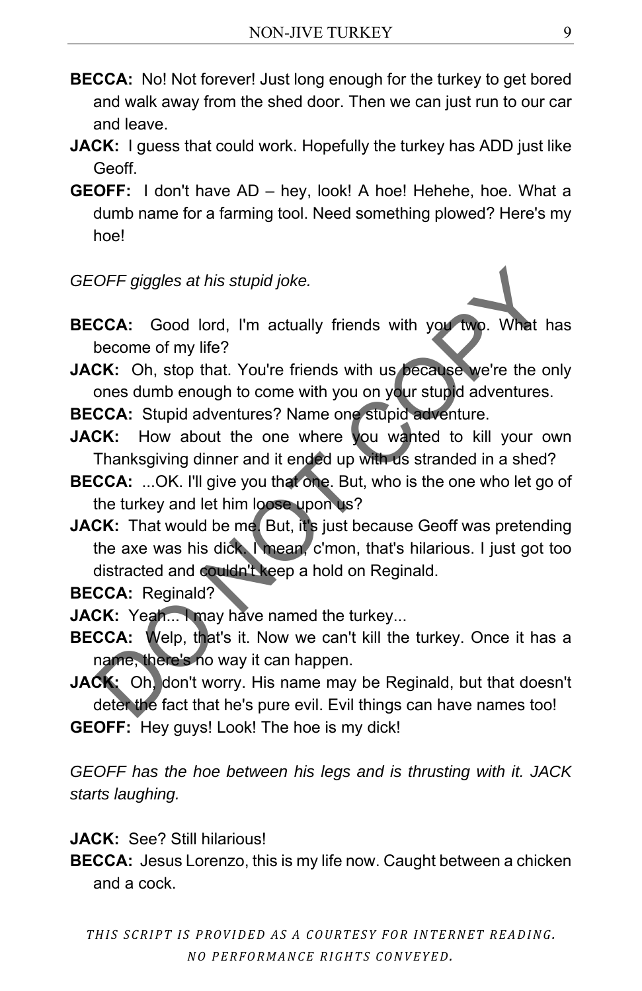- **BECCA:** No! Not forever! Just long enough for the turkey to get bored and walk away from the shed door. Then we can just run to our car and leave.
- **JACK:** I guess that could work. Hopefully the turkey has ADD just like Geoff.
- **GEOFF:** I don't have AD hey, look! A hoe! Hehehe, hoe. What a dumb name for a farming tool. Need something plowed? Here's my hoe!
- *GEOFF giggles at his stupid joke.*
- **BECCA:** Good lord, I'm actually friends with you two. What has become of my life?
- **JACK:** Oh, stop that. You're friends with us because we're the only ones dumb enough to come with you on your stupid adventures.
- **BECCA:** Stupid adventures? Name one stupid adventure.
- **JACK:** How about the one where you wanted to kill your own Thanksgiving dinner and it ended up with us stranded in a shed?
- **BECCA:** ...OK. I'll give you that one. But, who is the one who let go of the turkey and let him loose upon us?
- **JACK:** That would be me. But, it's just because Geoff was pretending the axe was his dick. I mean, c'mon, that's hilarious. I just got too distracted and couldn't keep a hold on Reginald. OFF giggles at his stupid joke.<br>
CCA: Good lord, I'm actually friends with you two. What has<br>
become of my life?<br>
CK: Oh, stop that. You're friends with us because we're the only<br>
cCA: Stupid adventures? Name one stupid ad

**BECCA: Reginald?** 

- **JACK:** Yeah... I may have named the turkey...
- **BECCA:** Welp, that's it. Now we can't kill the turkey. Once it has a name, there's no way it can happen.
- **JACK:** Oh, don't worry. His name may be Reginald, but that doesn't deter the fact that he's pure evil. Evil things can have names too!
- **GEOFF:** Hey guys! Look! The hoe is my dick!

*GEOFF has the hoe between his legs and is thrusting with it. JACK starts laughing.* 

- **JACK:** See? Still hilarious!
- **BECCA:** Jesus Lorenzo, this is my life now. Caught between a chicken and a cock.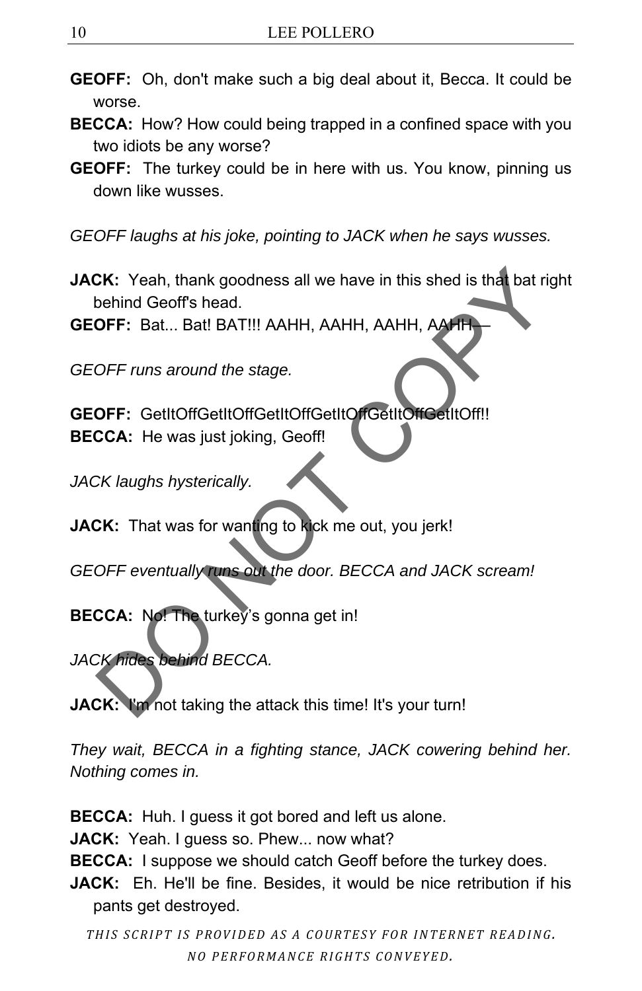- **GEOFF:** Oh, don't make such a big deal about it, Becca. It could be worse.
- **BECCA:** How? How could being trapped in a confined space with you two idiots be any worse?
- **GEOFF:** The turkey could be in here with us. You know, pinning us down like wusses.
- *GEOFF laughs at his joke, pointing to JACK when he says wusses.*
- **JACK:** Yeah, thank goodness all we have in this shed is that bat right behind Geoff's head. SK: Yeah, thank goodness all we have in this shed is that bat right<br>behind Geoff's head.<br>OFF: Bat... Bat! BAT!!! AAHH, AAHH, AAHH, AAHH,<br>OFF runs around the stage.<br>OFF: GettlCoffGetltCoffGetltCoffGetltCoffGetltCoff!<br>CCA: H

**GEOFF:** Bat... Bat! BAT!!! AAHH, AAHH, AAHH, AAHH––

*GEOFF runs around the stage.* 

GEOFF: GetItOffGetItOffGetItOffGetItOffGetItOffCetItOff!! **BECCA:** He was just joking, Geoff!

*JACK laughs hysterically.* 

**JACK:** That was for wanting to kick me out, you jerk!

*GEOFF eventually runs out the door. BECCA and JACK scream!* 

**BECCA:** No! The turkey's gonna get in!

*JACK hides behind BECCA.* 

**JACK:** I'm not taking the attack this time! It's your turn!

*They wait, BECCA in a fighting stance, JACK cowering behind her. Nothing comes in.* 

**BECCA:** Huh. I guess it got bored and left us alone.

JACK: Yeah. I guess so. Phew... now what?

**BECCA:** I suppose we should catch Geoff before the turkey does.

**JACK:** Eh. He'll be fine. Besides, it would be nice retribution if his pants get destroyed.